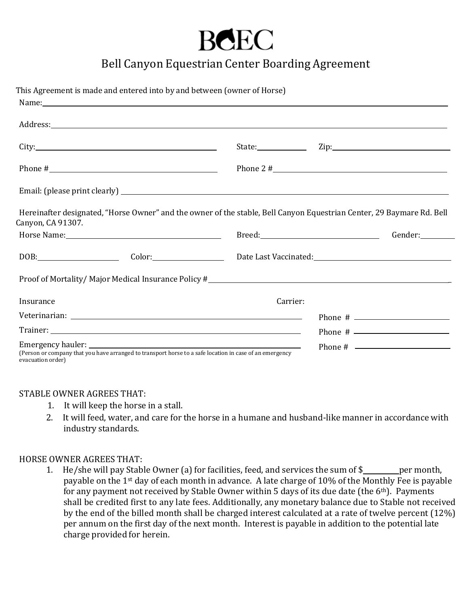## **BCEC**

## Bell Canyon Equestrian Center Boarding Agreement

| This Agreement is made and entered into by and between (owner of Horse)<br>Name: Name: Name: Name: Name: Name: Name: Name: Name: Name: Name: Name: Name: Name: Name: Name: Name: Name: Name: Name: Name: Name: Name: Name: Name: Name: Name: Name: Name: Name: Name: Name: Name: Name: Name: Name: Name: |          |                      |
|----------------------------------------------------------------------------------------------------------------------------------------------------------------------------------------------------------------------------------------------------------------------------------------------------------|----------|----------------------|
| Address: Andress: Address: Address: Address: Address: Address: Address: Address: Address: Address: Address: Address: Address: Address: Address: Address: Address: Address: Address: Address: Address: Address: Address: Addres                                                                           |          |                      |
| City:                                                                                                                                                                                                                                                                                                    |          |                      |
| Phone # $\sqrt{ }$                                                                                                                                                                                                                                                                                       |          | Phone 2 # $\sqrt{ }$ |
|                                                                                                                                                                                                                                                                                                          |          |                      |
| Hereinafter designated, "Horse Owner" and the owner of the stable, Bell Canyon Equestrian Center, 29 Baymare Rd. Bell<br>Canyon, CA 91307.                                                                                                                                                               |          |                      |
| Horse Name: 1988 and 1988 and 1988 and 1988 and 1988 and 1988 and 1988 and 1988 and 1988 and 1988 and 1988 and 1988 and 1988 and 1988 and 1988 and 1988 and 1988 and 1988 and 1988 and 1988 and 1988 and 1988 and 1988 and 198                                                                           |          | Gender:              |
| DOB: Color: Color: Date Last Vaccinated: Color: Color: Date Last Vaccinated:                                                                                                                                                                                                                             |          |                      |
| Proof of Mortality/ Major Medical Insurance Policy #_____________________________                                                                                                                                                                                                                        |          |                      |
| Insurance                                                                                                                                                                                                                                                                                                | Carrier: |                      |
|                                                                                                                                                                                                                                                                                                          |          |                      |
|                                                                                                                                                                                                                                                                                                          |          |                      |
| (Person or company that you have arranged to transport horse to a safe location in case of an emergency<br>evacuation order)                                                                                                                                                                             |          | Phone # $\qquad$     |

## STABLE OWNER AGREES THAT:

- 1. It will keep the horse in a stall.
- 2. It will feed, water, and care for the horse in a humane and husband-like manner in accordance with industry standards.

## HORSE OWNER AGREES THAT:

1. He/she will pay Stable Owner (a) for facilities, feed, and services the sum of \$ per month, payable on the 1st day of each month in advance. A late charge of 10% of the Monthly Fee is payable for any payment not received by Stable Owner within 5 days of its due date (the 6th). Payments shall be credited first to any late fees. Additionally, any monetary balance due to Stable not received by the end of the billed month shall be charged interest calculated at a rate of twelve percent (12%) per annum on the first day of the next month. Interest is payable in addition to the potential late charge provided for herein.